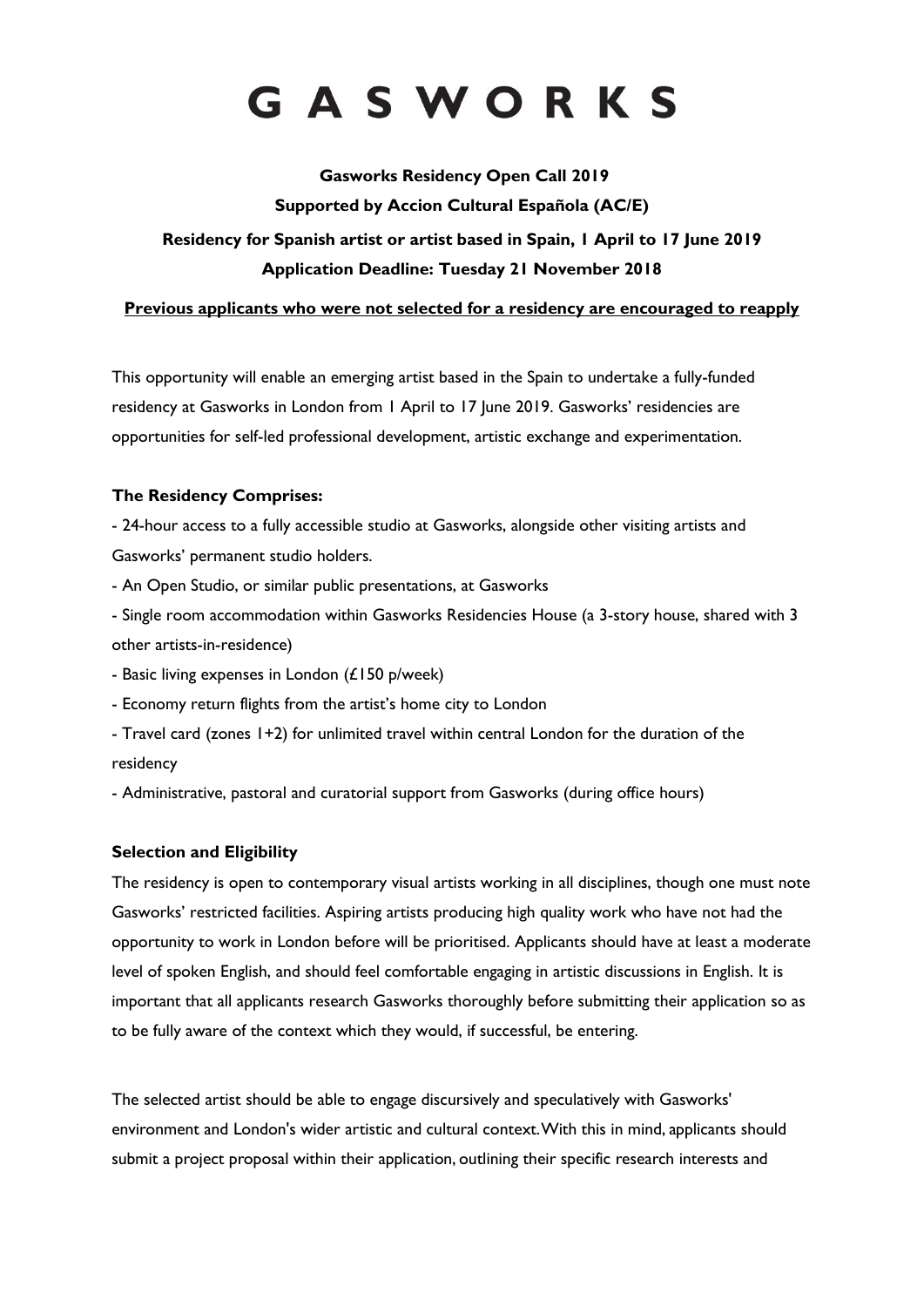# GASWORKS

# **Gasworks Residency Open Call 2019 Supported by Accion Cultural Española (AC/E) Residency for Spanish artist or artist based in Spain, 1 April to 17 June 2019 Application Deadline: Tuesday 21 November 2018**

#### **Previous applicants who were not selected for a residency are encouraged to reapply**

This opportunity will enable an emerging artist based in the Spain to undertake a fully-funded residency at Gasworks in London from 1 April to 17 June 2019. Gasworks' residencies are opportunities for self-led professional development, artistic exchange and experimentation.

## **The Residency Comprises:**

- 24-hour access to a fully accessible studio at Gasworks, alongside other visiting artists and Gasworks' permanent studio holders.

- An Open Studio, or similar public presentations, at Gasworks

- Single room accommodation within Gasworks Residencies House (a 3-story house, shared with 3 other artists-in-residence)

- Basic living expenses in London (£150 p/week)
- Economy return flights from the artist's home city to London
- Travel card (zones 1+2) for unlimited travel within central London for the duration of the residency

- Administrative, pastoral and curatorial support from Gasworks (during office hours)

## **Selection and Eligibility**

The residency is open to contemporary visual artists working in all disciplines, though one must note Gasworks' restricted facilities. Aspiring artists producing high quality work who have not had the opportunity to work in London before will be prioritised. Applicants should have at least a moderate level of spoken English, and should feel comfortable engaging in artistic discussions in English. It is important that all applicants research Gasworks thoroughly before submitting their application so as to be fully aware of the context which they would, if successful, be entering.

The selected artist should be able to engage discursively and speculatively with Gasworks' environment and London's wider artistic and cultural context. With this in mind, applicants should submit a project proposal within their application, outlining their specific research interests and